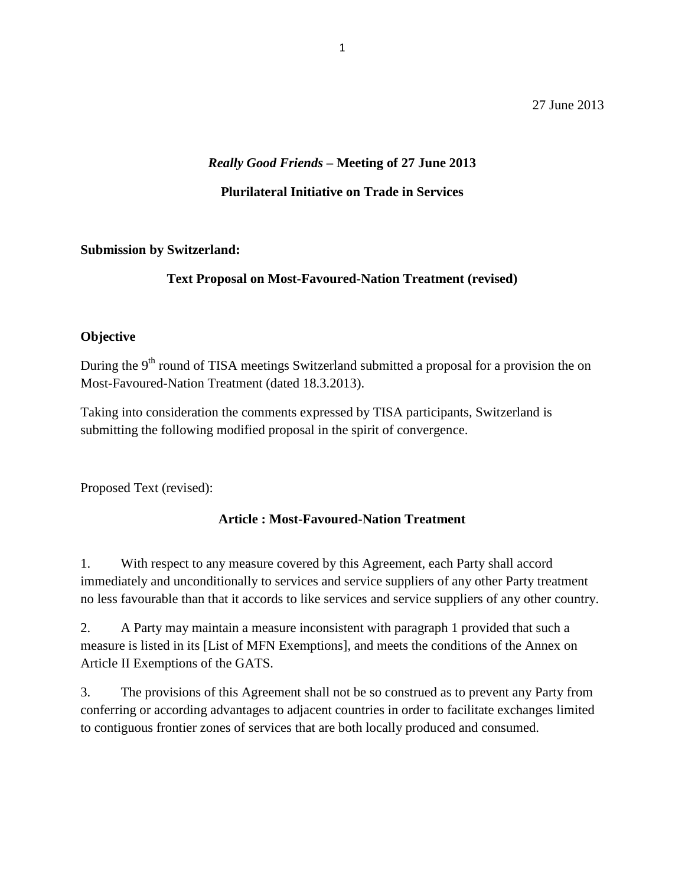27 June 2013

### *Really Good Friends* **– Meeting of 27 June 2013**

### **Plurilateral Initiative on Trade in Services**

#### **Submission by Switzerland:**

## **Text Proposal on Most-Favoured-Nation Treatment (revised)**

### **Objective**

During the 9<sup>th</sup> round of TISA meetings Switzerland submitted a proposal for a provision the on Most-Favoured-Nation Treatment (dated 18.3.2013).

Taking into consideration the comments expressed by TISA participants, Switzerland is submitting the following modified proposal in the spirit of convergence.

Proposed Text (revised):

### **Article : Most-Favoured-Nation Treatment**

1. With respect to any measure covered by this Agreement, each Party shall accord immediately and unconditionally to services and service suppliers of any other Party treatment no less favourable than that it accords to like services and service suppliers of any other country.

2. A Party may maintain a measure inconsistent with paragraph 1 provided that such a measure is listed in its [List of MFN Exemptions], and meets the conditions of the Annex on Article II Exemptions of the GATS.

3. The provisions of this Agreement shall not be so construed as to prevent any Party from conferring or according advantages to adjacent countries in order to facilitate exchanges limited to contiguous frontier zones of services that are both locally produced and consumed.